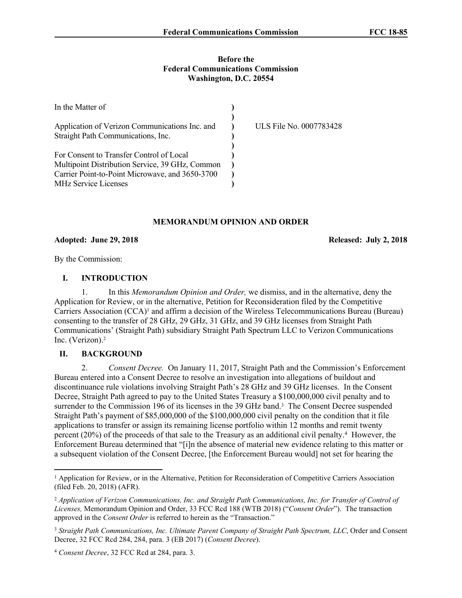### **Before the Federal Communications Commission Washington, D.C. 20554**

| In the Matter of                                                                            |                         |
|---------------------------------------------------------------------------------------------|-------------------------|
| Application of Verizon Communications Inc. and<br>Straight Path Communications, Inc.        | ULS File No. 0007783428 |
| For Consent to Transfer Control of Local<br>Multipoint Distribution Service, 39 GHz, Common |                         |
| Carrier Point-to-Point Microwave, and 3650-3700<br><b>MHz Service Licenses</b>              |                         |

### **MEMORANDUM OPINION AND ORDER**

#### **Adopted: June 29, 2018 Released: July 2, 2018**

By the Commission:

# **I. INTRODUCTION**

1. In this *Memorandum Opinion and Order,* we dismiss, and in the alternative, deny the Application for Review, or in the alternative, Petition for Reconsideration filed by the Competitive Carriers Association (CCA)<sup>1</sup> and affirm a decision of the Wireless Telecommunications Bureau (Bureau) consenting to the transfer of 28 GHz, 29 GHz, 31 GHz, and 39 GHz licenses from Straight Path Communications' (Straight Path) subsidiary Straight Path Spectrum LLC to Verizon Communications Inc. (Verizon).<sup>2</sup>

# **II. BACKGROUND**

2. *Consent Decree.* On January 11, 2017, Straight Path and the Commission's Enforcement Bureau entered into a Consent Decree to resolve an investigation into allegations of buildout and discontinuance rule violations involving Straight Path's 28 GHz and 39 GHz licenses. In the Consent Decree, Straight Path agreed to pay to the United States Treasury a \$100,000,000 civil penalty and to surrender to the Commission 196 of its licenses in the 39 GHz band.<sup>3</sup> The Consent Decree suspended Straight Path's payment of \$85,000,000 of the \$100,000,000 civil penalty on the condition that it file applications to transfer or assign its remaining license portfolio within 12 months and remit twenty percent (20%) of the proceeds of that sale to the Treasury as an additional civil penalty.<sup>4</sup> However, the Enforcement Bureau determined that "[i]n the absence of material new evidence relating to this matter or a subsequent violation of the Consent Decree, [the Enforcement Bureau would] not set for hearing the

<sup>1</sup> Application for Review, or in the Alternative, Petition for Reconsideration of Competitive Carriers Association (filed Feb. 20, 2018) (AFR).

<sup>2</sup> *Application of Verizon Communications, Inc. and Straight Path Communications, Inc. for Transfer of Control of Licenses,* Memorandum Opinion and Order, 33 FCC Rcd 188 (WTB 2018) ("*Consent Order*"). The transaction approved in the *Consent Order* is referred to herein as the "Transaction."

<sup>3</sup> *Straight Path Communications, Inc. Ultimate Parent Company of Straight Path Spectrum, LLC*, Order and Consent Decree, 32 FCC Rcd 284, 284, para. 3 (EB 2017) (*Consent Decree*).

<sup>4</sup> *Consent Decree*, 32 FCC Rcd at 284, para. 3.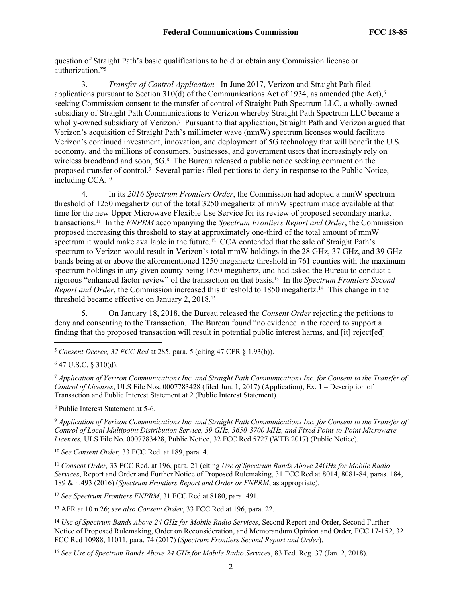question of Straight Path's basic qualifications to hold or obtain any Commission license or authorization."<sup>5</sup>

3. *Transfer of Control Application.* In June 2017, Verizon and Straight Path filed applications pursuant to Section 310(d) of the Communications Act of 1934, as amended (the Act),<sup>6</sup> seeking Commission consent to the transfer of control of Straight Path Spectrum LLC, a wholly-owned subsidiary of Straight Path Communications to Verizon whereby Straight Path Spectrum LLC became a wholly-owned subsidiary of Verizon.<sup>7</sup> Pursuant to that application, Straight Path and Verizon argued that Verizon's acquisition of Straight Path's millimeter wave (mmW) spectrum licenses would facilitate Verizon's continued investment, innovation, and deployment of 5G technology that will benefit the U.S. economy, and the millions of consumers, businesses, and government users that increasingly rely on wireless broadband and soon, 5G.<sup>8</sup> The Bureau released a public notice seeking comment on the proposed transfer of control.<sup>9</sup> Several parties filed petitions to deny in response to the Public Notice, including CCA.<sup>10</sup>

4. In its *2016 Spectrum Frontiers Order*, the Commission had adopted a mmW spectrum threshold of 1250 megahertz out of the total 3250 megahertz of mmW spectrum made available at that time for the new Upper Microwave Flexible Use Service for its review of proposed secondary market transactions.<sup>11</sup> In the *FNPRM* accompanying the *Spectrum Frontiers Report and Order*, the Commission proposed increasing this threshold to stay at approximately one-third of the total amount of mmW spectrum it would make available in the future.<sup>12</sup> CCA contended that the sale of Straight Path's spectrum to Verizon would result in Verizon's total mmW holdings in the 28 GHz, 37 GHz, and 39 GHz bands being at or above the aforementioned 1250 megahertz threshold in 761 counties with the maximum spectrum holdings in any given county being 1650 megahertz, and had asked the Bureau to conduct a rigorous "enhanced factor review" of the transaction on that basis.<sup>13</sup> In the *Spectrum Frontiers Second Report and Order*, the Commission increased this threshold to 1850 megahertz.<sup>14</sup> This change in the threshold became effective on January 2, 2018.<sup>15</sup>

5. On January 18, 2018, the Bureau released the *Consent Order* rejecting the petitions to deny and consenting to the Transaction. The Bureau found "no evidence in the record to support a finding that the proposed transaction will result in potential public interest harms, and [it] reject[ed]

<sup>5</sup> *Consent Decree, 32 FCC Rcd* at 285, para. 5 (citing 47 CFR § 1.93(b)).

<sup>7</sup> Application of Verizon Communications Inc. and Straight Path Communications Inc. for Consent to the Transfer of *Control of Licenses*, ULS File Nos. 0007783428 (filed Jun. 1, 2017) (Application), Ex. 1 – Description of Transaction and Public Interest Statement at 2 (Public Interest Statement).

<sup>8</sup> Public Interest Statement at 5-6.

<sup>9</sup> Application of Verizon Communications Inc. and Straight Path Communications Inc. for Consent to the Transfer of *Control of Local Multipoint Distribution Service, 39 GHz, 3650-3700 MHz, and Fixed Point-to-Point Microwave Licenses,* ULS File No. 0007783428, Public Notice, 32 FCC Rcd 5727 (WTB 2017) (Public Notice).

<sup>10</sup> *See Consent Order,* 33 FCC Rcd. at 189, para. 4.

<sup>11</sup> *Consent Order,* 33 FCC Rcd. at 196, para. 21 (citing *Use of Spectrum Bands Above 24GHz for Mobile Radio Services*, Report and Order and Further Notice of Proposed Rulemaking, 31 FCC Rcd at 8014, 8081-84, paras. 184, 189 & n.493 (2016) (*Spectrum Frontiers Report and Order or FNPRM*, as appropriate).

<sup>12</sup> *See Spectrum Frontiers FNPRM*, 31 FCC Rcd at 8180, para. 491.

<sup>13</sup> AFR at 10 n.26; *see also Consent Order*, 33 FCC Rcd at 196, para. 22.

<sup>14</sup> *Use of Spectrum Bands Above 24 GHz for Mobile Radio Services*, Second Report and Order, Second Further Notice of Proposed Rulemaking, Order on Reconsideration, and Memorandum Opinion and Order*,* FCC 17-152, 32 FCC Rcd 10988, 11011, para. 74 (2017) (*Spectrum Frontiers Second Report and Order*).

<sup>15</sup> *See Use of Spectrum Bands Above 24 GHz for Mobile Radio Services*, 83 Fed. Reg. 37 (Jan. 2, 2018).

<sup>6</sup> 47 U.S.C. § 310(d).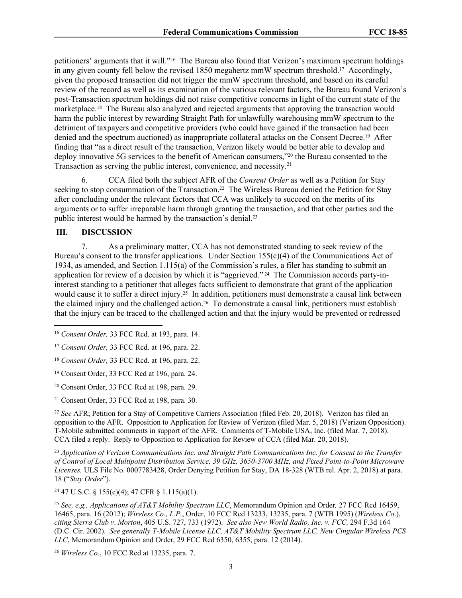petitioners' arguments that it will."<sup>16</sup> The Bureau also found that Verizon's maximum spectrum holdings in any given county fell below the revised 1850 megahertz mmW spectrum threshold.<sup>17</sup> Accordingly, given the proposed transaction did not trigger the mmW spectrum threshold, and based on its careful review of the record as well as its examination of the various relevant factors, the Bureau found Verizon's post-Transaction spectrum holdings did not raise competitive concerns in light of the current state of the marketplace.<sup>18</sup> The Bureau also analyzed and rejected arguments that approving the transaction would harm the public interest by rewarding Straight Path for unlawfully warehousing mmW spectrum to the detriment of taxpayers and competitive providers (who could have gained if the transaction had been denied and the spectrum auctioned) as inappropriate collateral attacks on the Consent Decree.<sup>19</sup> After finding that "as a direct result of the transaction, Verizon likely would be better able to develop and deploy innovative 5G services to the benefit of American consumers,"<sup>20</sup> the Bureau consented to the Transaction as serving the public interest, convenience, and necessity.<sup>21</sup>

6. CCA filed both the subject AFR of the *Consent Order* as well as a Petition for Stay seeking to stop consummation of the Transaction.<sup>22</sup> The Wireless Bureau denied the Petition for Stay after concluding under the relevant factors that CCA was unlikely to succeed on the merits of its arguments or to suffer irreparable harm through granting the transaction, and that other parties and the public interest would be harmed by the transaction's denial.<sup>23</sup>

## **III. DISCUSSION**

7. As a preliminary matter, CCA has not demonstrated standing to seek review of the Bureau's consent to the transfer applications. Under Section 155(c)(4) of the Communications Act of 1934, as amended, and Section 1.115(a) of the Commission's rules, a filer has standing to submit an application for review of a decision by which it is "aggrieved." <sup>24</sup> The Commission accords party-ininterest standing to a petitioner that alleges facts sufficient to demonstrate that grant of the application would cause it to suffer a direct injury.<sup>25</sup> In addition, petitioners must demonstrate a causal link between the claimed injury and the challenged action.<sup>26</sup> To demonstrate a causal link, petitioners must establish that the injury can be traced to the challenged action and that the injury would be prevented or redressed

<sup>21</sup> Consent Order, 33 FCC Rcd at 198, para. 30.

<sup>22</sup> *See* AFR; Petition for a Stay of Competitive Carriers Association (filed Feb. 20, 2018). Verizon has filed an opposition to the AFR. Opposition to Application for Review of Verizon (filed Mar. 5, 2018) (Verizon Opposition). T-Mobile submitted comments in support of the AFR. Comments of T-Mobile USA, Inc. (filed Mar. 7, 2018). CCA filed a reply. Reply to Opposition to Application for Review of CCA (filed Mar. 20, 2018).

<sup>23</sup> *Application of Verizon Communications Inc. and Straight Path Communications Inc. for Consent to the Transfer of Control of Local Multipoint Distribution Service, 39 GHz, 3650-3700 MHz, and Fixed Point-to-Point Microwave Licenses,* ULS File No. 0007783428, Order Denying Petition for Stay, DA 18-328 (WTB rel. Apr. 2, 2018) at para. 18 ("*Stay Order*").

<sup>24</sup> 47 U.S.C. § 155(c)(4); 47 CFR § 1.115(a)(1).

<sup>25</sup> *See, e.g., Applications of AT&T Mobility Spectrum LLC*, Memorandum Opinion and Order*,* 27 FCC Rcd 16459, 16465, para. 16 (2012); *Wireless Co., L.P.*, Order, 10 FCC Rcd 13233, 13235, para. 7 (WTB 1995) (*Wireless Co*.), *citing Sierra Club v*. *Morton*, 405 U.S. 727, 733 (1972). *See also New World Radio, Inc. v. FCC,* 294 F.3d 164 (D.C. Cir. 2002). *See generally T-Mobile License LLC, AT&T Mobility Spectrum LLC, New Cingular Wireless PCS LLC*, Memorandum Opinion and Order, 29 FCC Rcd 6350, 6355, para. 12 (2014).

<sup>26</sup> *Wireless Co*., 10 FCC Rcd at 13235, para. 7.

<sup>16</sup> *Consent Order,* 33 FCC Rcd. at 193, para. 14.

<sup>17</sup> *Consent Order,* 33 FCC Rcd. at 196, para. 22.

<sup>18</sup> *Consent Order,* 33 FCC Rcd. at 196, para. 22.

<sup>19</sup> Consent Order, 33 FCC Rcd at 196, para. 24.

<sup>20</sup> Consent Order, 33 FCC Rcd at 198, para. 29.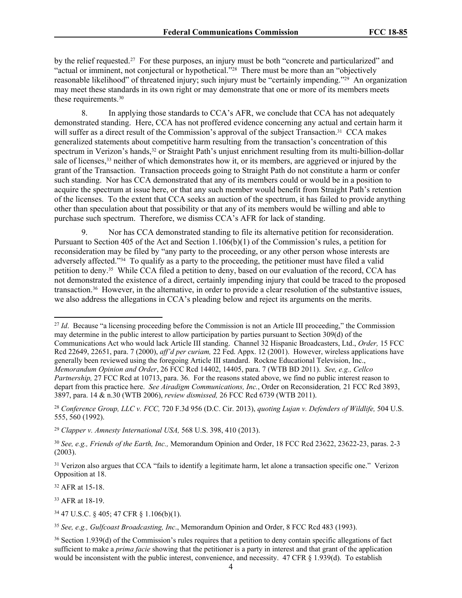by the relief requested.<sup>27</sup> For these purposes, an injury must be both "concrete and particularized" and "actual or imminent, not conjectural or hypothetical."<sup>28</sup> There must be more than an "objectively reasonable likelihood" of threatened injury; such injury must be "certainly impending."<sup>29</sup> An organization may meet these standards in its own right or may demonstrate that one or more of its members meets these requirements.<sup>30</sup>

8. In applying those standards to CCA's AFR, we conclude that CCA has not adequately demonstrated standing. Here, CCA has not proffered evidence concerning any actual and certain harm it will suffer as a direct result of the Commission's approval of the subject Transaction.<sup>31</sup> CCA makes generalized statements about competitive harm resulting from the transaction's concentration of this spectrum in Verizon's hands,<sup>32</sup> or Straight Path's unjust enrichment resulting from its multi-billion-dollar sale of licenses,<sup>33</sup> neither of which demonstrates how it, or its members, are aggrieved or injured by the grant of the Transaction. Transaction proceeds going to Straight Path do not constitute a harm or confer such standing. Nor has CCA demonstrated that any of its members could or would be in a position to acquire the spectrum at issue here, or that any such member would benefit from Straight Path's retention of the licenses. To the extent that CCA seeks an auction of the spectrum, it has failed to provide anything other than speculation about that possibility or that any of its members would be willing and able to purchase such spectrum. Therefore, we dismiss CCA's AFR for lack of standing.

9. Nor has CCA demonstrated standing to file its alternative petition for reconsideration. Pursuant to Section 405 of the Act and Section 1.106(b)(1) of the Commission's rules, a petition for reconsideration may be filed by "any party to the proceeding, or any other person whose interests are adversely affected."<sup>34</sup> To qualify as a party to the proceeding, the petitioner must have filed a valid petition to deny.<sup>35</sup> While CCA filed a petition to deny, based on our evaluation of the record, CCA has not demonstrated the existence of a direct, certainly impending injury that could be traced to the proposed transaction.<sup>36</sup> However, in the alternative, in order to provide a clear resolution of the substantive issues, we also address the allegations in CCA's pleading below and reject its arguments on the merits.

<sup>27</sup> *Id.* Because "a licensing proceeding before the Commission is not an Article III proceeding," the Commission may determine in the public interest to allow participation by parties pursuant to Section 309(d) of the Communications Act who would lack Article III standing. Channel 32 Hispanic Broadcasters, Ltd., *Order,* 15 FCC Rcd 22649, 22651, para. 7 (2000), *aff'd per curiam,* 22 Fed. Appx. 12 (2001). However, wireless applications have generally been reviewed using the foregoing Article III standard. Rockne Educational Television, Inc., *Memorandum Opinion and Order*, 26 FCC Rcd 14402, 14405, para. 7 (WTB BD 2011). *See, e.g., Cellco Partnership,* 27 FCC Rcd at 10713, para. 36. For the reasons stated above, we find no public interest reason to depart from this practice here. *See Airadigm Communications, Inc.*, Order on Reconsideration*,* 21 FCC Rcd 3893, 3897, para. 14 & n.30 (WTB 2006), *review dismissed,* 26 FCC Rcd 6739 (WTB 2011).

<sup>28</sup> *Conference Group, LLC v. FCC,* 720 F.3d 956 (D.C. Cir. 2013), *quoting Lujan v. Defenders of Wildlife,* 504 U.S. 555, 560 (1992).

<sup>32</sup> AFR at 15-18.

<sup>33</sup> AFR at 18-19.

<sup>34</sup> 47 U.S.C. § 405; 47 CFR § 1.106(b)(1).

<sup>29</sup> *Clapper v. Amnesty International USA,* 568 U.S. 398, 410 (2013).

<sup>30</sup> *See, e.g., Friends of the Earth, Inc.,* Memorandum Opinion and Order, 18 FCC Rcd 23622, 23622-23, paras. 2-3 (2003).

<sup>&</sup>lt;sup>31</sup> Verizon also argues that CCA "fails to identify a legitimate harm, let alone a transaction specific one." Verizon Opposition at 18.

<sup>35</sup> *See, e.g., Gulfcoast Broadcasting, Inc*., Memorandum Opinion and Order, 8 FCC Rcd 483 (1993).

<sup>36</sup> Section 1.939(d) of the Commission's rules requires that a petition to deny contain specific allegations of fact sufficient to make a *prima facie* showing that the petitioner is a party in interest and that grant of the application would be inconsistent with the public interest, convenience, and necessity. 47 CFR § 1.939(d). To establish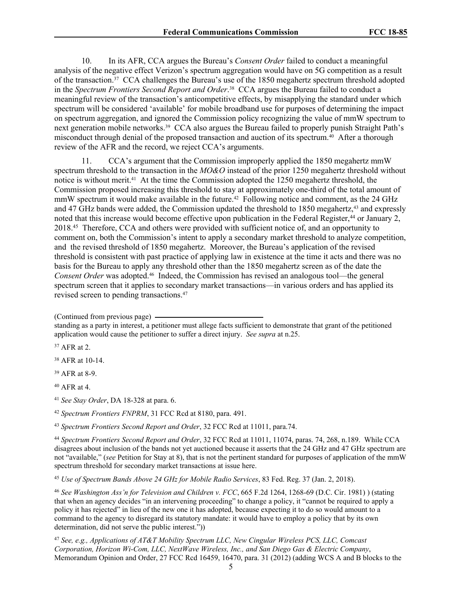10. In its AFR, CCA argues the Bureau's *Consent Order* failed to conduct a meaningful analysis of the negative effect Verizon's spectrum aggregation would have on 5G competition as a result of the transaction.<sup>37</sup> CCA challenges the Bureau's use of the 1850 megahertz spectrum threshold adopted in the *Spectrum Frontiers Second Report and Order*. <sup>38</sup> CCA argues the Bureau failed to conduct a meaningful review of the transaction's anticompetitive effects, by misapplying the standard under which spectrum will be considered 'available' for mobile broadband use for purposes of determining the impact on spectrum aggregation, and ignored the Commission policy recognizing the value of mmW spectrum to next generation mobile networks.<sup>39</sup> CCA also argues the Bureau failed to properly punish Straight Path's misconduct through denial of the proposed transaction and auction of its spectrum.<sup>40</sup> After a thorough review of the AFR and the record, we reject CCA's arguments.

11. CCA's argument that the Commission improperly applied the 1850 megahertz mmW spectrum threshold to the transaction in the *MO&O* instead of the prior 1250 megahertz threshold without notice is without merit.<sup>41</sup> At the time the Commission adopted the 1250 megahertz threshold, the Commission proposed increasing this threshold to stay at approximately one-third of the total amount of mmW spectrum it would make available in the future.<sup>42</sup> Following notice and comment, as the 24 GHz and 47 GHz bands were added, the Commission updated the threshold to 1850 megahertz,<sup>43</sup> and expressly noted that this increase would become effective upon publication in the Federal Register, $44$  or January 2, 2018.<sup>45</sup> Therefore, CCA and others were provided with sufficient notice of, and an opportunity to comment on, both the Commission's intent to apply a secondary market threshold to analyze competition, and the revised threshold of 1850 megahertz. Moreover, the Bureau's application of the revised threshold is consistent with past practice of applying law in existence at the time it acts and there was no basis for the Bureau to apply any threshold other than the 1850 megahertz screen as of the date the *Consent Order* was adopted.<sup>46</sup> Indeed, the Commission has revised an analogous tool—the general spectrum screen that it applies to secondary market transactions—in various orders and has applied its revised screen to pending transactions.<sup>47</sup>

<sup>37</sup> AFR at 2.

<sup>38</sup> AFR at 10-14.

<sup>39</sup> AFR at 8-9.

<sup>40</sup> AFR at 4.

<sup>41</sup> *See Stay Order*, DA 18-328 at para. 6.

<sup>42</sup> *Spectrum Frontiers FNPRM*, 31 FCC Rcd at 8180, para. 491.

<sup>43</sup> *Spectrum Frontiers Second Report and Order*, 32 FCC Rcd at 11011, para.74.

<sup>44</sup> *Spectrum Frontiers Second Report and Order*, 32 FCC Rcd at 11011, 11074, paras. 74, 268, n.189. While CCA disagrees about inclusion of the bands not yet auctioned because it asserts that the 24 GHz and 47 GHz spectrum are not "available," (*see* Petition for Stay at 8), that is not the pertinent standard for purposes of application of the mmW spectrum threshold for secondary market transactions at issue here.

<sup>45</sup> *Use of Spectrum Bands Above 24 GHz for Mobile Radio Services*, 83 Fed. Reg. 37 (Jan. 2, 2018).

<sup>46</sup> *See Washington Ass'n for Television and Children v. FCC*, 665 F.2d 1264, 1268-69 (D.C. Cir. 1981) ) (stating that when an agency decides "in an intervening proceeding" to change a policy, it "cannot be required to apply a policy it has rejected" in lieu of the new one it has adopted, because expecting it to do so would amount to a command to the agency to disregard its statutory mandate: it would have to employ a policy that by its own determination, did not serve the public interest."))

<sup>47</sup> *See, e.g., Applications of AT&T Mobility Spectrum LLC, New Cingular Wireless PCS, LLC, Comcast Corporation, Horizon Wi-Com, LLC, NextWave Wireless, Inc., and San Diego Gas & Electric Company*, Memorandum Opinion and Order, 27 FCC Rcd 16459, 16470, para. 31 (2012) (adding WCS A and B blocks to the

<sup>(</sup>Continued from previous page)

standing as a party in interest, a petitioner must allege facts sufficient to demonstrate that grant of the petitioned application would cause the petitioner to suffer a direct injury. *See supra* at n.25.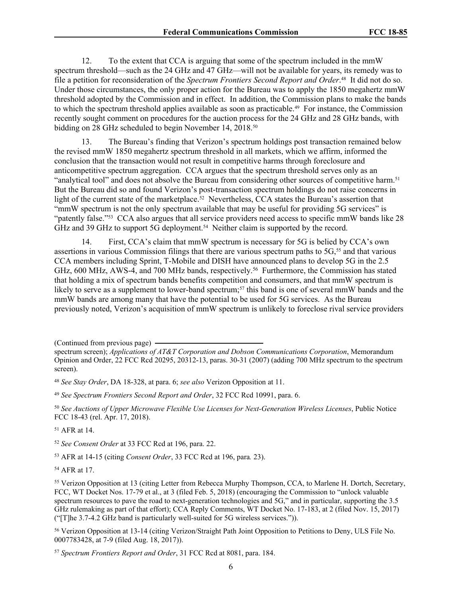12. To the extent that CCA is arguing that some of the spectrum included in the mmW spectrum threshold—such as the 24 GHz and 47 GHz—will not be available for years, its remedy was to file a petition for reconsideration of the *Spectrum Frontiers Second Report and Order*. 48 It did not do so. Under those circumstances, the only proper action for the Bureau was to apply the 1850 megahertz mmW threshold adopted by the Commission and in effect. In addition, the Commission plans to make the bands to which the spectrum threshold applies available as soon as practicable.<sup>49</sup> For instance, the Commission recently sought comment on procedures for the auction process for the 24 GHz and 28 GHz bands, with bidding on 28 GHz scheduled to begin November 14, 2018.<sup>50</sup>

13. The Bureau's finding that Verizon's spectrum holdings post transaction remained below the revised mmW 1850 megahertz spectrum threshold in all markets, which we affirm, informed the conclusion that the transaction would not result in competitive harms through foreclosure and anticompetitive spectrum aggregation. CCA argues that the spectrum threshold serves only as an "analytical tool" and does not absolve the Bureau from considering other sources of competitive harm.<sup>51</sup> But the Bureau did so and found Verizon's post-transaction spectrum holdings do not raise concerns in light of the current state of the marketplace.<sup>52</sup> Nevertheless, CCA states the Bureau's assertion that "mmW spectrum is not the only spectrum available that may be useful for providing 5G services" is "patently false."<sup>53</sup> CCA also argues that all service providers need access to specific mmW bands like 28 GHz and 39 GHz to support 5G deployment.<sup>54</sup> Neither claim is supported by the record.

14. First, CCA's claim that mmW spectrum is necessary for 5G is belied by CCA's own assertions in various Commission filings that there are various spectrum paths to  $5G<sub>5</sub>$  and that various CCA members including Sprint, T-Mobile and DISH have announced plans to develop 5G in the 2.5 GHz, 600 MHz, AWS-4, and 700 MHz bands, respectively.<sup>56</sup> Furthermore, the Commission has stated that holding a mix of spectrum bands benefits competition and consumers, and that mmW spectrum is likely to serve as a supplement to lower-band spectrum;<sup>57</sup> this band is one of several mmW bands and the mmW bands are among many that have the potential to be used for 5G services. As the Bureau previously noted, Verizon's acquisition of mmW spectrum is unlikely to foreclose rival service providers

<sup>49</sup> *See Spectrum Frontiers Second Report and Order*, 32 FCC Rcd 10991, para. 6.

<sup>50</sup> *See Auctions of Upper Microwave Flexible Use Licenses for Next-Generation Wireless Licenses*, Public Notice FCC 18-43 (rel. Apr. 17, 2018).

<sup>51</sup> AFR at 14.

<sup>52</sup> *See Consent Order* at 33 FCC Rcd at 196, para. 22.

<sup>53</sup> AFR at 14-15 (citing *Consent Order*, 33 FCC Rcd at 196, para*.* 23).

<sup>54</sup> AFR at 17.

<sup>56</sup> Verizon Opposition at 13-14 (citing Verizon/Straight Path Joint Opposition to Petitions to Deny, ULS File No. 0007783428, at 7-9 (filed Aug. 18, 2017)).

<sup>57</sup> *Spectrum Frontiers Report and Order*, 31 FCC Rcd at 8081, para. 184.

<sup>(</sup>Continued from previous page)

spectrum screen); *Applications of AT&T Corporation and Dobson Communications Corporation*, Memorandum Opinion and Order, 22 FCC Rcd 20295, 20312-13, paras. 30-31 (2007) (adding 700 MHz spectrum to the spectrum screen).

<sup>48</sup> *See Stay Order*, DA 18-328, at para. 6; *see also* Verizon Opposition at 11.

<sup>55</sup> Verizon Opposition at 13 (citing Letter from Rebecca Murphy Thompson, CCA, to Marlene H. Dortch, Secretary, FCC, WT Docket Nos. 17-79 et al., at 3 (filed Feb. 5, 2018) (encouraging the Commission to "unlock valuable spectrum resources to pave the road to next-generation technologies and 5G," and in particular, supporting the 3.5 GHz rulemaking as part of that effort); CCA Reply Comments, WT Docket No. 17-183, at 2 (filed Nov. 15, 2017) ("[T]he 3.7-4.2 GHz band is particularly well-suited for 5G wireless services.")).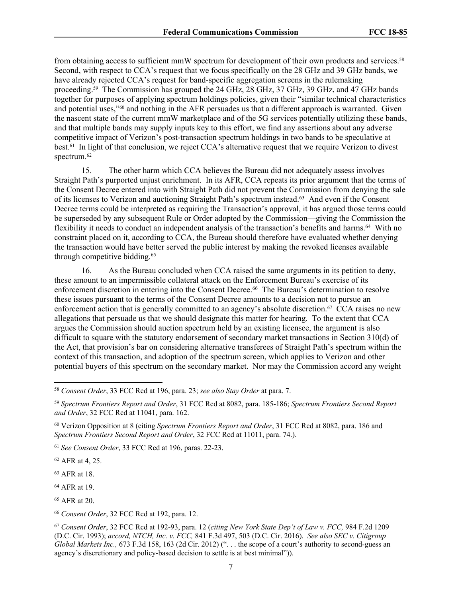from obtaining access to sufficient mmW spectrum for development of their own products and services.<sup>58</sup> Second, with respect to CCA's request that we focus specifically on the 28 GHz and 39 GHz bands, we have already rejected CCA's request for band-specific aggregation screens in the rulemaking proceeding.<sup>59</sup> The Commission has grouped the 24 GHz, 28 GHz, 37 GHz, 39 GHz, and 47 GHz bands together for purposes of applying spectrum holdings policies, given their "similar technical characteristics and potential uses,"<sup>60</sup> and nothing in the AFR persuades us that a different approach is warranted. Given the nascent state of the current mmW marketplace and of the 5G services potentially utilizing these bands, and that multiple bands may supply inputs key to this effort, we find any assertions about any adverse competitive impact of Verizon's post-transaction spectrum holdings in two bands to be speculative at best.<sup>61</sup> In light of that conclusion, we reject CCA's alternative request that we require Verizon to divest spectrum.<sup>62</sup>

15. The other harm which CCA believes the Bureau did not adequately assess involves Straight Path's purported unjust enrichment. In its AFR, CCA repeats its prior argument that the terms of the Consent Decree entered into with Straight Path did not prevent the Commission from denying the sale of its licenses to Verizon and auctioning Straight Path's spectrum instead.<sup>63</sup> And even if the Consent Decree terms could be interpreted as requiring the Transaction's approval, it has argued those terms could be superseded by any subsequent Rule or Order adopted by the Commission—giving the Commission the flexibility it needs to conduct an independent analysis of the transaction's benefits and harms.<sup>64</sup> With no constraint placed on it, according to CCA, the Bureau should therefore have evaluated whether denying the transaction would have better served the public interest by making the revoked licenses available through competitive bidding.<sup>65</sup>

16. As the Bureau concluded when CCA raised the same arguments in its petition to deny, these amount to an impermissible collateral attack on the Enforcement Bureau's exercise of its enforcement discretion in entering into the Consent Decree.<sup>66</sup> The Bureau's determination to resolve these issues pursuant to the terms of the Consent Decree amounts to a decision not to pursue an enforcement action that is generally committed to an agency's absolute discretion.<sup>67</sup> CCA raises no new allegations that persuade us that we should designate this matter for hearing. To the extent that CCA argues the Commission should auction spectrum held by an existing licensee, the argument is also difficult to square with the statutory endorsement of secondary market transactions in Section 310(d) of the Act, that provision's bar on considering alternative transferees of Straight Path's spectrum within the context of this transaction, and adoption of the spectrum screen, which applies to Verizon and other potential buyers of this spectrum on the secondary market. Nor may the Commission accord any weight

<sup>61</sup> *See Consent Order*, 33 FCC Rcd at 196, paras. 22-23.

<sup>62</sup> AFR at 4, 25.

<sup>63</sup> AFR at 18.

<sup>64</sup> AFR at 19.

<sup>58</sup> *Consent Order*, 33 FCC Rcd at 196, para. 23; *see also Stay Order* at para. 7.

<sup>59</sup> *Spectrum Frontiers Report and Order*, 31 FCC Rcd at 8082, para. 185-186; *Spectrum Frontiers Second Report and Order*, 32 FCC Rcd at 11041, para. 162.

<sup>60</sup> Verizon Opposition at 8 (citing *Spectrum Frontiers Report and Order*, 31 FCC Rcd at 8082, para. 186 and *Spectrum Frontiers Second Report and Order*, 32 FCC Rcd at 11011, para. 74.).

<sup>65</sup> AFR at 20.

<sup>66</sup> *Consent Order*, 32 FCC Rcd at 192, para. 12.

<sup>67</sup> *Consent Order*, 32 FCC Rcd at 192-93, para. 12 (*citing New York State Dep't of Law v. FCC,* 984 F.2d 1209 (D.C. Cir. 1993); *accord, NTCH, Inc. v. FCC,* 841 F.3d 497, 503 (D.C. Cir. 2016). *See also SEC v. Citigroup Global Markets Inc.,* 673 F.3d 158, 163 (2d Cir. 2012) (". . . the scope of a court's authority to second-guess an agency's discretionary and policy-based decision to settle is at best minimal")).